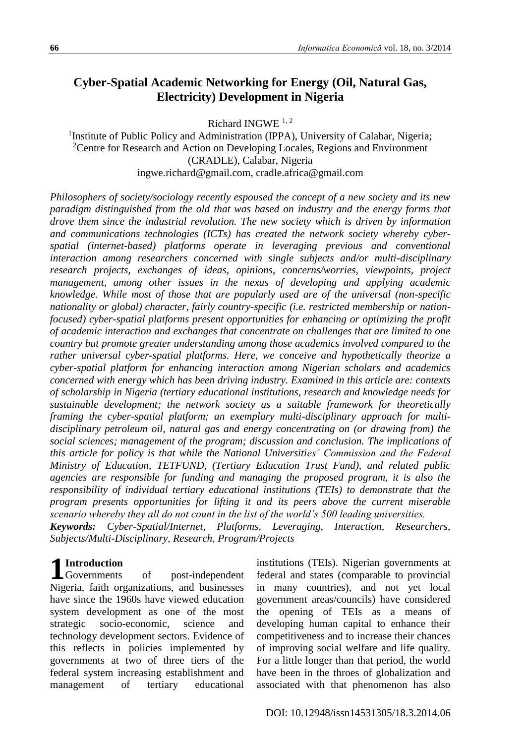# **Cyber-Spatial Academic Networking for Energy (Oil, Natural Gas, Electricity) Development in Nigeria**

Richard INGWE<sup>1,2</sup>

<sup>1</sup>Institute of Public Policy and Administration (IPPA), University of Calabar, Nigeria; <sup>2</sup>Centre for Research and Action on Developing Locales, Regions and Environment (CRADLE), Calabar, Nigeria ingwe.richard@gmail.com, cradle.africa@gmail.com

*Philosophers of society/sociology recently espoused the concept of a new society and its new paradigm distinguished from the old that was based on industry and the energy forms that drove them since the industrial revolution. The new society which is driven by information and communications technologies (ICTs) has created the network society whereby cyberspatial (internet-based) platforms operate in leveraging previous and conventional interaction among researchers concerned with single subjects and/or multi-disciplinary research projects, exchanges of ideas, opinions, concerns/worries, viewpoints, project management, among other issues in the nexus of developing and applying academic knowledge. While most of those that are popularly used are of the universal (non-specific nationality or global) character, fairly country-specific (i.e. restricted membership or nationfocused) cyber-spatial platforms present opportunities for enhancing or optimizing the profit of academic interaction and exchanges that concentrate on challenges that are limited to one country but promote greater understanding among those academics involved compared to the rather universal cyber-spatial platforms. Here, we conceive and hypothetically theorize a cyber-spatial platform for enhancing interaction among Nigerian scholars and academics concerned with energy which has been driving industry. Examined in this article are: contexts of scholarship in Nigeria (tertiary educational institutions, research and knowledge needs for sustainable development; the network society as a suitable framework for theoretically framing the cyber-spatial platform; an exemplary multi-disciplinary approach for multidisciplinary petroleum oil, natural gas and energy concentrating on (or drawing from) the social sciences; management of the program; discussion and conclusion. The implications of this article for policy is that while the National Universities' Commission and the Federal Ministry of Education, TETFUND, (Tertiary Education Trust Fund), and related public agencies are responsible for funding and managing the proposed program, it is also the responsibility of individual tertiary educational institutions (TEIs) to demonstrate that the program presents opportunities for lifting it and its peers above the current miserable scenario whereby they all do not count in the list of the world's 500 leading universities.*

*Keywords: Cyber-Spatial/Internet, Platforms, Leveraging, Interaction, Researchers, Subjects/Multi-Disciplinary, Research, Program/Projects*

# **Introduction**

Governments of post-independent Nigeria, faith organizations, and businesses have since the 1960s have viewed education system development as one of the most strategic socio-economic, science and technology development sectors. Evidence of this reflects in policies implemented by governments at two of three tiers of the federal system increasing establishment and management of tertiary educational **1**

institutions (TEIs). Nigerian governments at federal and states (comparable to provincial in many countries), and not yet local government areas/councils) have considered the opening of TEIs as a means of developing human capital to enhance their competitiveness and to increase their chances of improving social welfare and life quality. For a little longer than that period, the world have been in the throes of globalization and associated with that phenomenon has also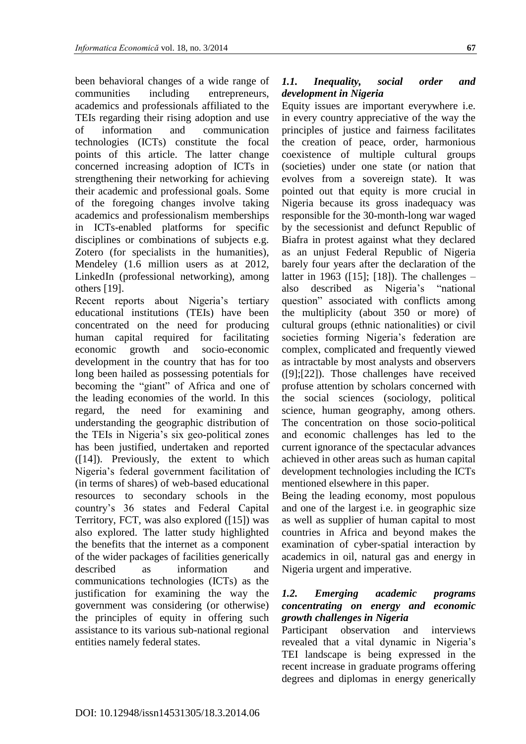been behavioral changes of a wide range of communities including entrepreneurs, academics and professionals affiliated to the TEIs regarding their rising adoption and use of information and communication technologies (ICTs) constitute the focal points of this article. The latter change concerned increasing adoption of ICTs in strengthening their networking for achieving their academic and professional goals. Some of the foregoing changes involve taking academics and professionalism memberships in ICTs-enabled platforms for specific disciplines or combinations of subjects e.g. Zotero (for specialists in the humanities), Mendeley (1.6 million users as at 2012, LinkedIn (professional networking), among others [19].

Recent reports about Nigeria's tertiary educational institutions (TEIs) have been concentrated on the need for producing human capital required for facilitating economic growth and socio-economic development in the country that has for too long been hailed as possessing potentials for becoming the "giant" of Africa and one of the leading economies of the world. In this regard, the need for examining and understanding the geographic distribution of the TEIs in Nigeria's six geo-political zones has been justified, undertaken and reported ([14]). Previously, the extent to which Nigeria's federal government facilitation of (in terms of shares) of web-based educational resources to secondary schools in the country's 36 states and Federal Capital Territory, FCT, was also explored ([15]) was also explored. The latter study highlighted the benefits that the internet as a component of the wider packages of facilities generically described as information and communications technologies (ICTs) as the justification for examining the way the government was considering (or otherwise) the principles of equity in offering such assistance to its various sub-national regional entities namely federal states.

#### *1.1. Inequality, social order and development in Nigeria*

Equity issues are important everywhere i.e. in every country appreciative of the way the principles of justice and fairness facilitates the creation of peace, order, harmonious coexistence of multiple cultural groups (societies) under one state (or nation that evolves from a sovereign state). It was pointed out that equity is more crucial in Nigeria because its gross inadequacy was responsible for the 30-month-long war waged by the secessionist and defunct Republic of Biafra in protest against what they declared as an unjust Federal Republic of Nigeria barely four years after the declaration of the latter in 1963 ([15]; [18]). The challenges – also described as Nigeria's "national question" associated with conflicts among the multiplicity (about 350 or more) of cultural groups (ethnic nationalities) or civil societies forming Nigeria's federation are complex, complicated and frequently viewed as intractable by most analysts and observers ([9];[22]). Those challenges have received profuse attention by scholars concerned with the social sciences (sociology, political science, human geography, among others. The concentration on those socio-political and economic challenges has led to the current ignorance of the spectacular advances achieved in other areas such as human capital development technologies including the ICTs mentioned elsewhere in this paper.

Being the leading economy, most populous and one of the largest i.e. in geographic size as well as supplier of human capital to most countries in Africa and beyond makes the examination of cyber-spatial interaction by academics in oil, natural gas and energy in Nigeria urgent and imperative.

#### *1.2. Emerging academic programs concentrating on energy and economic growth challenges in Nigeria*

Participant observation and interviews revealed that a vital dynamic in Nigeria's TEI landscape is being expressed in the recent increase in graduate programs offering degrees and diplomas in energy generically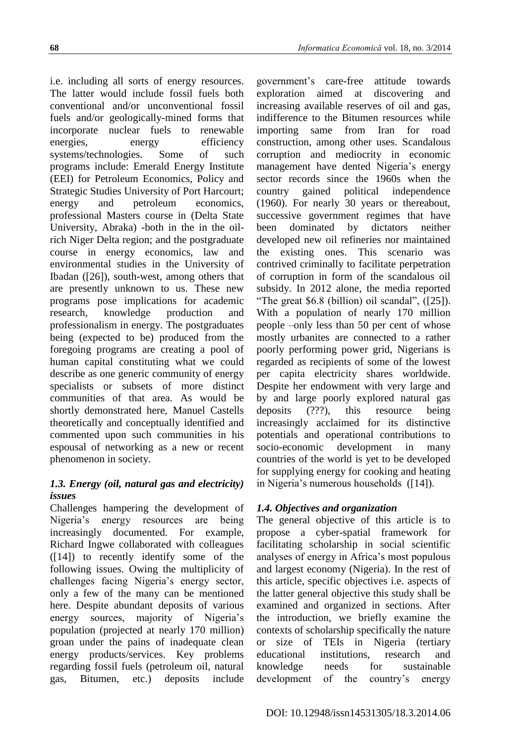i.e. including all sorts of energy resources. The latter would include fossil fuels both conventional and/or unconventional fossil fuels and/or geologically-mined forms that incorporate nuclear fuels to renewable energies, energy efficiency systems/technologies. Some of such programs include: Emerald Energy Institute (EEI) for Petroleum Economics, Policy and Strategic Studies University of Port Harcourt; energy and petroleum economics, professional Masters course in (Delta State University, Abraka) -both in the in the oilrich Niger Delta region; and the postgraduate course in energy economics, law and environmental studies in the University of Ibadan ([26]), south-west, among others that are presently unknown to us. These new programs pose implications for academic research, knowledge production and professionalism in energy. The postgraduates being (expected to be) produced from the foregoing programs are creating a pool of human capital constituting what we could describe as one generic community of energy specialists or subsets of more distinct communities of that area. As would be shortly demonstrated here, Manuel Castells theoretically and conceptually identified and commented upon such communities in his espousal of networking as a new or recent phenomenon in society.

## *1.3. Energy (oil, natural gas and electricity) issues*

Challenges hampering the development of Nigeria's energy resources are being increasingly documented. For example, Richard Ingwe collaborated with colleagues  $(14)$  to recently identify some of the following issues. Owing the multiplicity of challenges facing Nigeria's energy sector, only a few of the many can be mentioned here. Despite abundant deposits of various energy sources, majority of Nigeria's population (projected at nearly 170 million) groan under the pains of inadequate clean energy products/services. Key problems regarding fossil fuels (petroleum oil, natural gas, Bitumen, etc.) deposits include

government's care-free attitude towards exploration aimed at discovering and increasing available reserves of oil and gas, indifference to the Bitumen resources while importing same from Iran for road construction, among other uses. Scandalous corruption and mediocrity in economic management have dented Nigeria's energy sector records since the 1960s when the country gained political independence (1960). For nearly 30 years or thereabout, successive government regimes that have been dominated by dictators neither developed new oil refineries nor maintained the existing ones. This scenario was contrived criminally to facilitate perpetration of corruption in form of the scandalous oil subsidy. In 2012 alone, the media reported "The great \$6.8 (billion) oil scandal", ([25]). With a population of nearly 170 million people –only less than 50 per cent of whose mostly urbanites are connected to a rather poorly performing power grid, Nigerians is regarded as recipients of some of the lowest per capita electricity shares worldwide. Despite her endowment with very large and by and large poorly explored natural gas deposits (???), this resource being increasingly acclaimed for its distinctive potentials and operational contributions to socio-economic development in many countries of the world is yet to be developed for supplying energy for cooking and heating in Nigeria's numerous households ([14]).

### *1.4. Objectives and organization*

The general objective of this article is to propose a cyber-spatial framework for facilitating scholarship in social scientific analyses of energy in Africa's most populous and largest economy (Nigeria). In the rest of this article, specific objectives i.e. aspects of the latter general objective this study shall be examined and organized in sections. After the introduction, we briefly examine the contexts of scholarship specifically the nature or size of TEIs in Nigeria (tertiary educational institutions, research and knowledge needs for sustainable development of the country's energy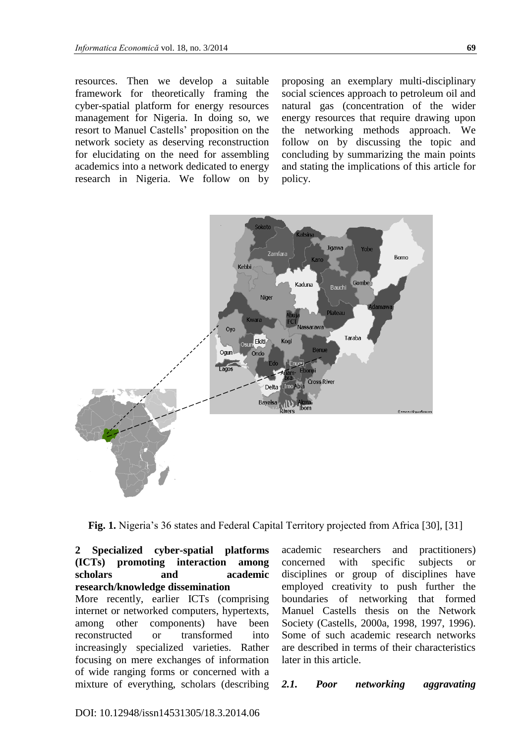resources. Then we develop a suitable framework for theoretically framing the cyber-spatial platform for energy resources management for Nigeria. In doing so, we resort to Manuel Castells' proposition on the network society as deserving reconstruction for elucidating on the need for assembling academics into a network dedicated to energy research in Nigeria. We follow on by

proposing an exemplary multi-disciplinary social sciences approach to petroleum oil and natural gas (concentration of the wider energy resources that require drawing upon the networking methods approach. We follow on by discussing the topic and concluding by summarizing the main points and stating the implications of this article for policy.



**Fig. 1.** Nigeria's 36 states and Federal Capital Territory projected from Africa [30], [31]

**2 Specialized cyber-spatial platforms (ICTs) promoting interaction among scholars and academic research/knowledge dissemination**  More recently, earlier ICTs (comprising internet or networked computers, hypertexts, among other components) have been reconstructed or transformed into increasingly specialized varieties. Rather focusing on mere exchanges of information of wide ranging forms or concerned with a mixture of everything, scholars (describing academic researchers and practitioners) concerned with specific subjects or disciplines or group of disciplines have employed creativity to push further the boundaries of networking that formed Manuel Castells thesis on the Network Society (Castells, 2000a, 1998, 1997, 1996). Some of such academic research networks are described in terms of their characteristics later in this article.

*2.1. Poor networking aggravating*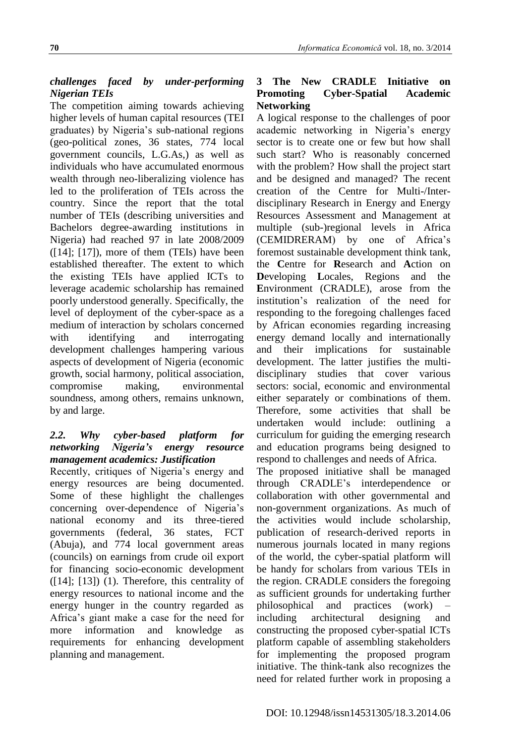## *challenges faced by under-performing Nigerian TEIs*

The competition aiming towards achieving higher levels of human capital resources (TEI graduates) by Nigeria's sub-national regions (geo-political zones, 36 states, 774 local government councils, L.G.As,) as well as individuals who have accumulated enormous wealth through neo-liberalizing violence has led to the proliferation of TEIs across the country. Since the report that the total number of TEIs (describing universities and Bachelors degree-awarding institutions in Nigeria) had reached 97 in late 2008/2009  $([14]; [17])$ , more of them (TEIs) have been established thereafter. The extent to which the existing TEIs have applied ICTs to leverage academic scholarship has remained poorly understood generally. Specifically, the level of deployment of the cyber-space as a medium of interaction by scholars concerned with identifying and interrogating development challenges hampering various aspects of development of Nigeria (economic growth, social harmony, political association, compromise making, environmental soundness, among others, remains unknown, by and large.

#### *2.2. Why cyber-based platform for networking Nigeria's energy resource management academics: Justification*

Recently, critiques of Nigeria's energy and energy resources are being documented. Some of these highlight the challenges concerning over-dependence of Nigeria's national economy and its three-tiered governments (federal, 36 states, FCT (Abuja), and 774 local government areas (councils) on earnings from crude oil export for financing socio-economic development  $([14]; [13])$  (1). Therefore, this centrality of energy resources to national income and the energy hunger in the country regarded as Africa's giant make a case for the need for more information and knowledge as requirements for enhancing development planning and management.

### **3 The New CRADLE Initiative on Promoting Cyber-Spatial Academic Networking**

A logical response to the challenges of poor academic networking in Nigeria's energy sector is to create one or few but how shall such start? Who is reasonably concerned with the problem? How shall the project start and be designed and managed? The recent creation of the Centre for Multi-/Interdisciplinary Research in Energy and Energy Resources Assessment and Management at multiple (sub-)regional levels in Africa (CEMIDRERAM) by one of Africa's foremost sustainable development think tank, the **C**entre for **R**esearch and **A**ction on **D**eveloping **L**ocales, Regions and the **E**nvironment (CRADLE), arose from the institution's realization of the need for responding to the foregoing challenges faced by African economies regarding increasing energy demand locally and internationally and their implications for sustainable development. The latter justifies the multidisciplinary studies that cover various sectors: social, economic and environmental either separately or combinations of them. Therefore, some activities that shall be undertaken would include: outlining a curriculum for guiding the emerging research and education programs being designed to respond to challenges and needs of Africa.

The proposed initiative shall be managed through CRADLE's interdependence or collaboration with other governmental and non-government organizations. As much of the activities would include scholarship, publication of research-derived reports in numerous journals located in many regions of the world, the cyber-spatial platform will be handy for scholars from various TEIs in the region. CRADLE considers the foregoing as sufficient grounds for undertaking further philosophical and practices (work) – including architectural designing and constructing the proposed cyber-spatial ICTs platform capable of assembling stakeholders for implementing the proposed program initiative. The think-tank also recognizes the need for related further work in proposing a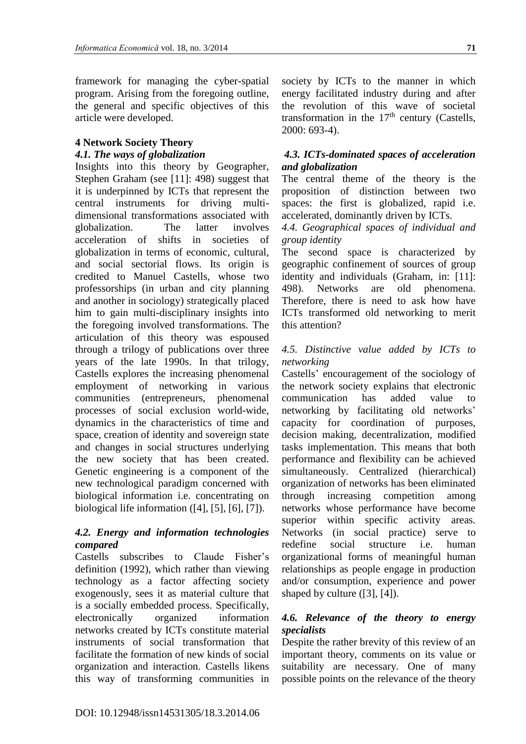framework for managing the cyber-spatial program. Arising from the foregoing outline, the general and specific objectives of this article were developed.

#### **4 Network Society Theory**

#### *4.1. The ways of globalization*

Insights into this theory by Geographer, Stephen Graham (see [11]: 498) suggest that it is underpinned by ICTs that represent the central instruments for driving multidimensional transformations associated with globalization. The latter involves acceleration of shifts in societies of globalization in terms of economic, cultural, and social sectorial flows. Its origin is credited to Manuel Castells, whose two professorships (in urban and city planning and another in sociology) strategically placed him to gain multi-disciplinary insights into the foregoing involved transformations. The articulation of this theory was espoused through a trilogy of publications over three years of the late 1990s. In that trilogy, Castells explores the increasing phenomenal employment of networking in various communities (entrepreneurs, phenomenal processes of social exclusion world-wide, dynamics in the characteristics of time and space, creation of identity and sovereign state and changes in social structures underlying the new society that has been created. Genetic engineering is a component of the new technological paradigm concerned with biological information i.e. concentrating on biological life information  $([4], [5], [6], [7])$ .

#### *4.2. Energy and information technologies compared*

Castells subscribes to Claude Fisher's definition (1992), which rather than viewing technology as a factor affecting society exogenously, sees it as material culture that is a socially embedded process. Specifically, electronically organized information networks created by ICTs constitute material instruments of social transformation that facilitate the formation of new kinds of social organization and interaction. Castells likens this way of transforming communities in

society by ICTs to the manner in which energy facilitated industry during and after the revolution of this wave of societal transformation in the  $17<sup>th</sup>$  century (Castells, 2000: 693-4).

#### *4.3. ICTs-dominated spaces of acceleration and globalization*

The central theme of the theory is the proposition of distinction between two spaces: the first is globalized, rapid i.e. accelerated, dominantly driven by ICTs.

#### *4.4. Geographical spaces of individual and group identity*

The second space is characterized by geographic confinement of sources of group identity and individuals (Graham, in: [11]: 498). Networks are old phenomena. Therefore, there is need to ask how have ICTs transformed old networking to merit this attention?

#### *4.5. Distinctive value added by ICTs to networking*

Castells' encouragement of the sociology of the network society explains that electronic communication has added value to networking by facilitating old networks' capacity for coordination of purposes, decision making, decentralization, modified tasks implementation. This means that both performance and flexibility can be achieved simultaneously. Centralized (hierarchical) organization of networks has been eliminated through increasing competition among networks whose performance have become superior within specific activity areas. Networks (in social practice) serve to redefine social structure i.e. human organizational forms of meaningful human relationships as people engage in production and/or consumption, experience and power shaped by culture ([3], [4]).

#### *4.6. Relevance of the theory to energy specialists*

Despite the rather brevity of this review of an important theory, comments on its value or suitability are necessary. One of many possible points on the relevance of the theory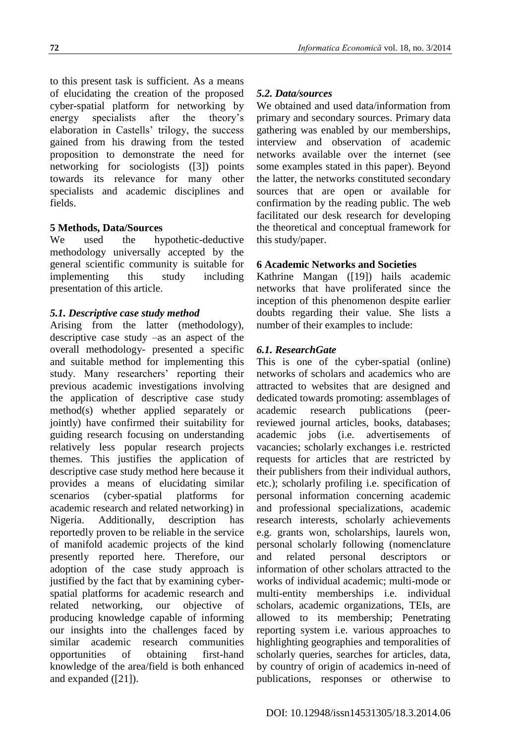to this present task is sufficient. As a means of elucidating the creation of the proposed cyber-spatial platform for networking by

energy specialists after the theory's elaboration in Castells' trilogy, the success gained from his drawing from the tested proposition to demonstrate the need for networking for sociologists ([3]) points towards its relevance for many other specialists and academic disciplines and fields.

# **5 Methods, Data/Sources**

We used the hypothetic-deductive methodology universally accepted by the general scientific community is suitable for implementing this study including presentation of this article.

## *5.1. Descriptive case study method*

Arising from the latter (methodology), descriptive case study –as an aspect of the overall methodology- presented a specific and suitable method for implementing this study. Many researchers' reporting their previous academic investigations involving the application of descriptive case study method(s) whether applied separately or jointly) have confirmed their suitability for guiding research focusing on understanding relatively less popular research projects themes. This justifies the application of descriptive case study method here because it provides a means of elucidating similar scenarios (cyber-spatial platforms for academic research and related networking) in Nigeria. Additionally, description has reportedly proven to be reliable in the service of manifold academic projects of the kind presently reported here. Therefore, our adoption of the case study approach is justified by the fact that by examining cyberspatial platforms for academic research and related networking, our objective of producing knowledge capable of informing our insights into the challenges faced by similar academic research communities opportunities of obtaining first-hand knowledge of the area/field is both enhanced and expanded ([21]).

### *5.2. Data/sources*

We obtained and used data/information from primary and secondary sources. Primary data gathering was enabled by our memberships, interview and observation of academic networks available over the internet (see some examples stated in this paper). Beyond the latter, the networks constituted secondary sources that are open or available for confirmation by the reading public. The web facilitated our desk research for developing the theoretical and conceptual framework for this study/paper.

#### **6 Academic Networks and Societies**

Kathrine Mangan ([19]) hails academic networks that have proliferated since the inception of this phenomenon despite earlier doubts regarding their value. She lists a number of their examples to include:

## *6.1. ResearchGate*

This is one of the cyber-spatial (online) networks of scholars and academics who are attracted to websites that are designed and dedicated towards promoting: assemblages of academic research publications (peerreviewed journal articles, books, databases; academic jobs (i.e. advertisements of vacancies; scholarly exchanges i.e. restricted requests for articles that are restricted by their publishers from their individual authors, etc.); scholarly profiling i.e. specification of personal information concerning academic and professional specializations, academic research interests, scholarly achievements e.g. grants won, scholarships, laurels won, personal scholarly following (nomenclature and related personal descriptors or information of other scholars attracted to the works of individual academic; multi-mode or multi-entity memberships i.e. individual scholars, academic organizations, TEIs, are allowed to its membership; Penetrating reporting system i.e. various approaches to highlighting geographies and temporalities of scholarly queries, searches for articles, data, by country of origin of academics in-need of publications, responses or otherwise to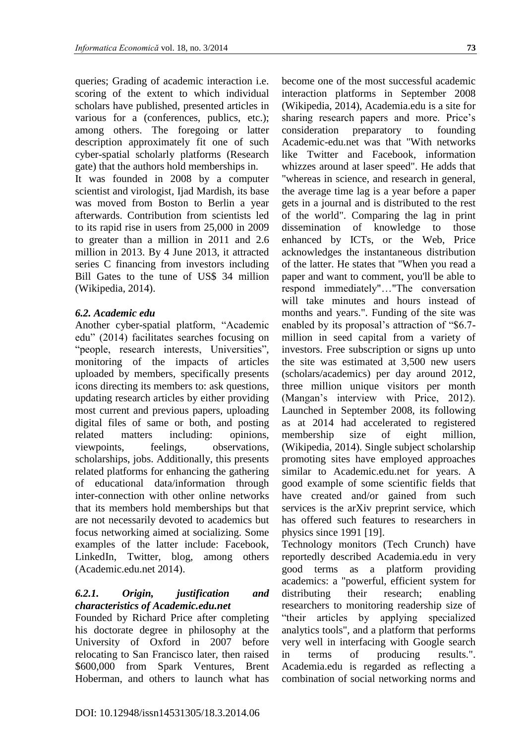queries; Grading of academic interaction i.e. scoring of the extent to which individual scholars have published, presented articles in various for a (conferences, publics, etc.); among others. The foregoing or latter description approximately fit one of such cyber-spatial scholarly platforms (Research gate) that the authors hold memberships in.

It was founded in 2008 by a computer scientist and virologist, Ijad Mardish, its base was moved from Boston to Berlin a year afterwards. Contribution from scientists led to its rapid rise in users from 25,000 in 2009 to greater than a million in 2011 and 2.6 million in 2013. By 4 June 2013, it attracted series C financing from investors including Bill Gates to the tune of US\$ 34 million (Wikipedia, 2014).

#### *6.2. Academic edu*

Another cyber-spatial platform, "Academic edu" (2014) facilitates searches focusing on "people, research interests, Universities", monitoring of the impacts of articles uploaded by members, specifically presents icons directing its members to: ask questions, updating research articles by either providing most current and previous papers, uploading digital files of same or both, and posting related matters including: opinions, viewpoints, feelings, observations, scholarships, jobs. Additionally, this presents related platforms for enhancing the gathering of educational data/information through inter-connection with other online networks that its members hold memberships but that are not necessarily devoted to academics but focus networking aimed at socializing. Some examples of the latter include: Facebook, LinkedIn, Twitter, blog, among others (Academic.edu.net 2014).

## *6.2.1. Origin, justification and characteristics of Academic.edu.net*

Founded by Richard Price after completing his doctorate degree in philosophy at the University of Oxford in 2007 before relocating to San Francisco later, then raised \$600,000 from Spark Ventures, [Brent](http://en.wikipedia.org/wiki/Brent_Hoberman)  [Hoberman,](http://en.wikipedia.org/wiki/Brent_Hoberman) and others to launch what has become one of the most successful academic interaction platforms in September 2008 (Wikipedia, 2014), Academia.edu is a site for sharing research papers and more. Price's consideration preparatory to founding Academic-edu.net was that "With networks like Twitter and Facebook, information whizzes around at laser speed". He adds that "whereas in science, and research in general, the average time lag is a year before a paper gets in a journal and is distributed to the rest of the world". Comparing the lag in print dissemination of knowledge to those enhanced by ICTs, or the Web, Price acknowledges the instantaneous distribution of the latter. He states that "When you read a paper and want to comment, you'll be able to respond immediately"…"The conversation will take minutes and hours instead of months and years.". Funding of the site was enabled by its proposal's attraction of "\$6.7 million in seed capital from a variety of investors. Free subscription or signs up unto the site was estimated at 3,500 new users (scholars/academics) per day around 2012, three million unique visitors per month (Mangan's interview with Price, 2012). Launched in September 2008, its following as at 2014 had accelerated to registered membership size of eight million, (Wikipedia, 2014). Single subject scholarship promoting sites have employed approaches similar to Academic.edu.net for years. A good example of some scientific fields that have created and/or gained from such services is the arXiv preprint service, which has offered such features to researchers in physics since 1991 [19].

Technology monitors (Tech Crunch) have reportedly described Academia.edu in very good terms as a platform providing academics: a "powerful, efficient system for distributing their research; enabling researchers to monitoring readership size of "their articles by applying specialized analytics tools", and a platform that performs very well in interfacing with [Google search](http://en.wikipedia.org/wiki/Google_search) in terms of producing results.". Academia.edu is regarded as reflecting a combination of social networking norms and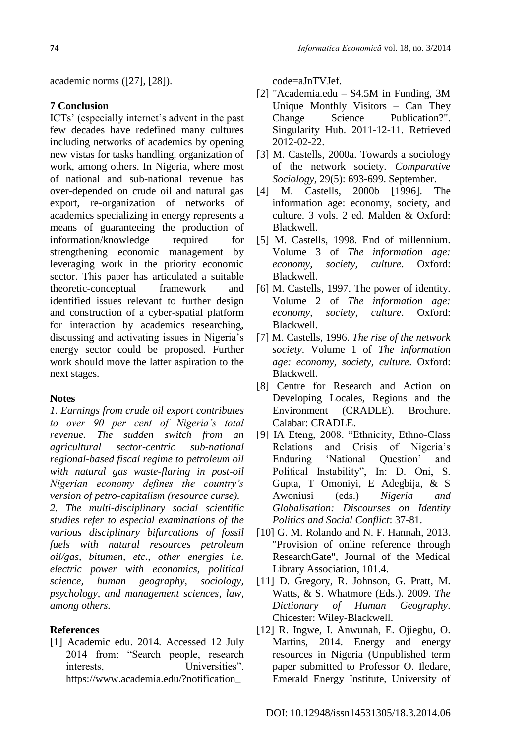**74**

academic norms ([27], [28]).

#### **7 Conclusion**

ICTs' (especially internet's advent in the past few decades have redefined many cultures including networks of academics by opening new vistas for tasks handling, organization of work, among others. In Nigeria, where most of national and sub-national revenue has over-depended on crude oil and natural gas export, re-organization of networks of academics specializing in energy represents a means of guaranteeing the production of information/knowledge required for strengthening economic management by leveraging work in the priority economic sector. This paper has articulated a suitable theoretic-conceptual framework and identified issues relevant to further design and construction of a cyber-spatial platform for interaction by academics researching, discussing and activating issues in Nigeria's energy sector could be proposed. Further work should move the latter aspiration to the next stages.

#### **Notes**

*1. Earnings from crude oil export contributes to over 90 per cent of Nigeria's total revenue. The sudden switch from an agricultural sector-centric sub-national regional-based fiscal regime to petroleum oil with natural gas waste-flaring in post-oil Nigerian economy defines the country's version of petro-capitalism (resource curse). 2. The multi-disciplinary social scientific studies refer to especial examinations of the various disciplinary bifurcations of fossil fuels with natural resources petroleum oil/gas, bitumen, etc., other energies i.e. electric power with economics, political science, human geography, sociology, psychology, and management sciences, law, among others.*

#### **References**

[1] Academic edu. 2014. Accessed 12 July 2014 from: "Search people, research interests, Universities". https://www.academia.edu/?notification\_

code=aJnTVJef.

- [2] "Academia.edu \$4.5M in Funding, 3M Unique Monthly Visitors – Can They Change Science Publication?". Singularity Hub. 2011-12-11. Retrieved 2012-02-22.
- [3] M. Castells, 2000a. Towards a sociology of the network society. *Comparative Sociology*, 29(5): 693-699. September.
- [4] M. Castells, 2000b [1996]. The information age: economy, society, and culture. 3 vols. 2 ed. Malden & Oxford: Blackwell.
- [5] M. Castells, 1998. End of millennium. Volume 3 of *The information age: economy, society, culture*. Oxford: Blackwell.
- [6] M. Castells, 1997. The power of identity. Volume 2 of *The information age: economy, society, culture*. Oxford: Blackwell.
- [7] M. Castells, 1996. *The rise of the network society*. Volume 1 of *The information age: economy, society, culture*. Oxford: Blackwell.
- [8] Centre for Research and Action on Developing Locales, Regions and the Environment (CRADLE). Brochure. Calabar: CRADLE.
- [9] IA Eteng, 2008. "Ethnicity, Ethno-Class Relations and Crisis of Nigeria's Enduring 'National Question' and Political Instability", In: D. Oni, S. Gupta, T Omoniyi, E Adegbija, & S Awoniusi (eds.) *Nigeria and Globalisation: Discourses on Identity Politics and Social Conflict*: 37-81.
- [10] G. M. Rolando and N. F. Hannah, 2013. "Provision of online reference through ResearchGate", Journal of the Medical Library Association, 101.4.
- [11] D. Gregory, R. Johnson, G. Pratt, M. Watts, & S. Whatmore (Eds.). 2009. *The Dictionary of Human Geography*. Chicester: Wiley-Blackwell.
- [12] R. Ingwe, I. Anwunah, E. Ojiegbu, O. Martins, 2014. Energy and energy resources in Nigeria (Unpublished term paper submitted to Professor O. Iledare, Emerald Energy Institute, University of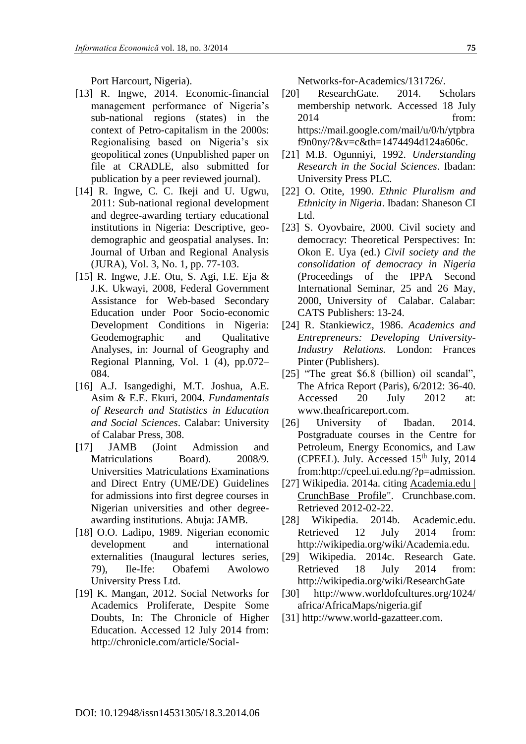**75**

Port Harcourt, Nigeria).

- [13] R. Ingwe, 2014. Economic-financial management performance of Nigeria's sub-national regions (states) in the context of Petro-capitalism in the 2000s: Regionalising based on Nigeria's six geopolitical zones (Unpublished paper on file at CRADLE, also submitted for publication by a peer reviewed journal).
- [14] R. Ingwe, C. C. Ikeji and U. Ugwu, 2011: Sub-national regional development and degree-awarding tertiary educational institutions in Nigeria: Descriptive, geodemographic and geospatial analyses. In: Journal of Urban and Regional Analysis (JURA), Vol. 3, No. 1, pp. 77-103.
- [15] R. Ingwe, J.E. Otu, S. Agi, I.E. Eja & J.K. Ukwayi, 2008, Federal Government Assistance for Web-based Secondary Education under Poor Socio-economic Development Conditions in Nigeria: Geodemographic and Qualitative Analyses, in: Journal of Geography and Regional Planning, Vol. 1 (4), pp.072– 084.
- [16] A.J. Isangedighi, M.T. Joshua, A.E. Asim & E.E. Ekuri, 2004. *Fundamentals of Research and Statistics in Education and Social Sciences*. Calabar: University of Calabar Press, 308.
- **[**17] JAMB (Joint Admission and Matriculations Board). 2008/9. Universities Matriculations Examinations and Direct Entry (UME/DE) Guidelines for admissions into first degree courses in Nigerian universities and other degreeawarding institutions. Abuja: JAMB.
- [18] O.O. Ladipo, 1989. Nigerian economic development and international externalities (Inaugural lectures series, 79), Ile-Ife: Obafemi Awolowo University Press Ltd.
- [19] K. Mangan, 2012. Social Networks for Academics Proliferate, Despite Some Doubts, In: The Chronicle of Higher Education. Accessed 12 July 2014 from: http://chronicle.com/article/Social-

Networks-for-Academics/131726/.

- [20] ResearchGate. 2014. Scholars membership network. Accessed 18 July 2014 from: https://mail.google.com/mail/u/0/h/ytpbra f9n0ny/?&v=c&th=1474494d124a606c.
- [21] M.B. Ogunniyi, 1992. *Understanding Research in the Social Sciences*. Ibadan: University Press PLC.
- [22] O. Otite, 1990. *Ethnic Pluralism and Ethnicity in Nigeria*. Ibadan: Shaneson CI Ltd.
- [23] S. Oyovbaire, 2000. Civil society and democracy: Theoretical Perspectives: In: Okon E. Uya (ed.) *Civil society and the consolidation of democracy in Nigeria* (Proceedings of the IPPA Second International Seminar, 25 and 26 May, 2000, University of Calabar. Calabar: CATS Publishers: 13-24.
- [24] R. Stankiewicz, 1986. *Academics and Entrepreneurs: Developing University-Industry Relations.* London: Frances Pinter (Publishers).
- [25] "The great \$6.8 (billion) oil scandal", The Africa Report (Paris), 6/2012: 36-40. Accessed 20 July 2012 at: www.theafricareport.com.
- [26] University of Ibadan. 2014. Postgraduate courses in the Centre for Petroleum, Energy Economics, and Law (CPEEL). July. Accessed  $15<sup>th</sup>$  July, 2014 from:http://cpeel.ui.edu.ng/?p=admission.
- [27] Wikipedia. 2014a. citing [Academia.edu |](http://www.crunchbase.com/company/academia-edu)  [CrunchBase Profile".](http://www.crunchbase.com/company/academia-edu) Crunchbase.com. Retrieved 2012-02-22.
- [28] Wikipedia. 2014b. Academic.edu. Retrieved 12 July 2014 from: http://wikipedia.org/wiki/Academia.edu.
- [29] Wikipedia. 2014c. Research Gate. Retrieved 18 July 2014 from: http://wikipedia.org/wiki/ResearchGate
- [30] http://www.worldofcultures.org/1024/ africa/AfricaMaps/nigeria.gif
- [31] http://www.world-gazatteer.com.